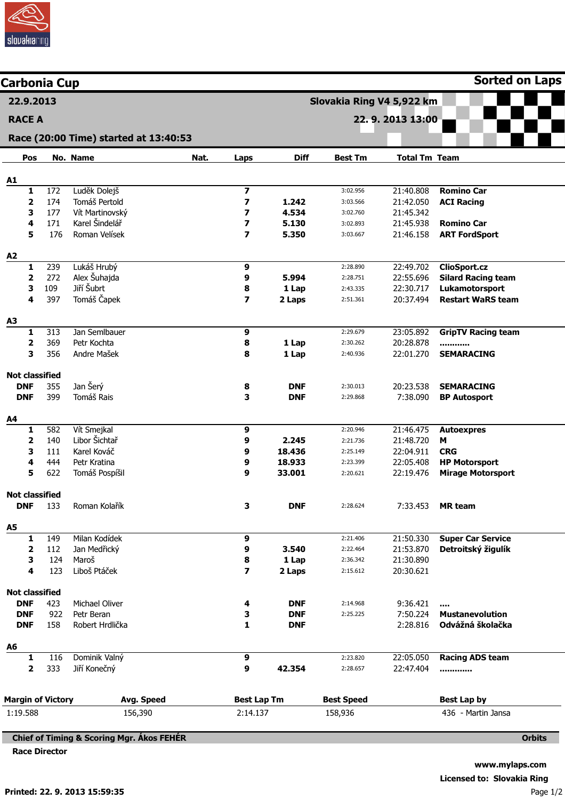

| <b>Carbonia Cup</b>          |            |                                                      |      |                                                     |                  |                           |                        | <b>Sorted on Laps</b>                            |
|------------------------------|------------|------------------------------------------------------|------|-----------------------------------------------------|------------------|---------------------------|------------------------|--------------------------------------------------|
| 22.9.2013                    |            |                                                      |      |                                                     |                  | Slovakia Ring V4 5,922 km |                        |                                                  |
| <b>RACE A</b>                |            |                                                      |      | 22.9.2013 13:00                                     |                  |                           |                        |                                                  |
|                              |            | Race (20:00 Time) started at 13:40:53                |      |                                                     |                  |                           |                        |                                                  |
| Pos                          |            | No. Name                                             | Nat. |                                                     | <b>Diff</b>      | <b>Best Tm</b>            | <b>Total Tm Team</b>   |                                                  |
|                              |            |                                                      |      | <b>Laps</b>                                         |                  |                           |                        |                                                  |
| <b>A1</b>                    |            |                                                      |      |                                                     |                  |                           |                        |                                                  |
| 1                            | 172<br>174 | Luděk Dolejš<br>Tomáš Pertold                        |      | $\overline{\mathbf{z}}$<br>$\overline{\phantom{a}}$ | 1.242            | 3:02.956                  | 21:40.808<br>21:42.050 | <b>Romino Car</b>                                |
| $\overline{\mathbf{2}}$<br>3 | 177        | Vít Martinovský                                      |      | 7                                                   | 4.534            | 3:03.566<br>3:02.760      | 21:45.342              | <b>ACI Racing</b>                                |
| 4                            | 171        | Karel Šindelář                                       |      | 7                                                   | 5.130            | 3:02.893                  | 21:45.938              | <b>Romino Car</b>                                |
| 5                            | 176        | Roman Velísek                                        |      | 7                                                   | 5.350            | 3:03.667                  | 21:46.158              | <b>ART FordSport</b>                             |
| A2                           |            |                                                      |      |                                                     |                  |                           |                        |                                                  |
| 1                            | 239        | Lukáš Hrubý                                          |      | 9                                                   |                  | 2:28.890                  | 22:49.702              | <b>ClioSport.cz</b>                              |
| 2                            | 272        | Alex Šuhajda                                         |      | 9                                                   | 5.994            | 2:28.751                  | 22:55.696              | <b>Silard Racing team</b>                        |
| 3                            | 109        | Jiří Šubrt                                           |      | 8                                                   | 1 Lap            | 2:43.335                  | 22:30.717              | Lukamotorsport                                   |
| 4                            | 397        | Tomáš Čapek                                          |      | 7                                                   | 2 Laps           | 2:51.361                  | 20:37.494              | <b>Restart WaRS team</b>                         |
| A3                           |            |                                                      |      |                                                     |                  |                           |                        |                                                  |
| 1                            | 313        | Jan Semlbauer                                        |      | 9                                                   |                  | 2:29.679                  | 23:05.892              | <b>GripTV Racing team</b>                        |
| 2                            | 369        | Petr Kochta                                          |      | 8                                                   | 1 Lap            | 2:30.262                  | 20:28.878              |                                                  |
| 3                            | 356        | Andre Mašek                                          |      | 8                                                   | 1 Lap            | 2:40.936                  | 22:01.270              | <b>SEMARACING</b>                                |
| <b>Not classified</b>        |            |                                                      |      |                                                     |                  |                           |                        |                                                  |
| <b>DNF</b>                   | 355        | Jan Šerý                                             |      | 8                                                   | <b>DNF</b>       | 2:30.013                  | 20:23.538              | <b>SEMARACING</b>                                |
| <b>DNF</b>                   | 399        | Tomáš Rais                                           |      | 3                                                   | <b>DNF</b>       | 2:29.868                  | 7:38.090               | <b>BP Autosport</b>                              |
| A4                           |            |                                                      |      |                                                     |                  |                           |                        |                                                  |
| 1                            | 582        | Vít Smejkal                                          |      | 9                                                   |                  | 2:20.946                  | 21:46.475              | <b>Autoexpres</b>                                |
| 2                            | 140        | Libor Šichtař                                        |      | 9                                                   | 2.245            | 2:21.736                  | 21:48.720              | M                                                |
| 3<br>4                       | 111<br>444 | Karel Kováč<br>Petr Kratina                          |      | 9                                                   | 18.436           | 2:25.149<br>2:23.399      | 22:04.911              | <b>CRG</b>                                       |
| 5                            | 622        | Tomáš Pospíšil                                       |      | 9<br>9                                              | 18.933<br>33.001 | 2:20.621                  | 22:05.408<br>22:19.476 | <b>HP Motorsport</b><br><b>Mirage Motorsport</b> |
| <b>Not classified</b>        |            |                                                      |      |                                                     |                  |                           |                        |                                                  |
| <b>DNF</b>                   | 133        | Roman Kolařík                                        |      | 3                                                   | <b>DNF</b>       | 2:28.624                  | 7:33.453               | <b>MR</b> team                                   |
| A5                           |            |                                                      |      |                                                     |                  |                           |                        |                                                  |
| 1                            | 149        | Milan Kodídek                                        |      | 9                                                   |                  | 2:21.406                  | 21:50.330              | <b>Super Car Service</b>                         |
| 2                            | 112        | Jan Medřický                                         |      | 9                                                   | 3.540            | 2:22.464                  | 21:53.870              | Detroitský žigulík                               |
| 3                            | 124        | Maroš                                                |      | 8                                                   | 1 Lap            | 2:36.342                  | 21:30.890              |                                                  |
| 4                            | 123        | Liboš Ptáček                                         |      | 7                                                   | 2 Laps           | 2:15.612                  | 20:30.621              |                                                  |
| <b>Not classified</b>        |            |                                                      |      |                                                     |                  |                           |                        |                                                  |
| <b>DNF</b>                   | 423        | Michael Oliver                                       |      | 4                                                   | <b>DNF</b>       | 2:14.968                  | 9:36.421               | $\cdots$                                         |
| <b>DNF</b>                   | 922        | Petr Beran                                           |      | з                                                   | <b>DNF</b>       | 2:25.225                  | 7:50.224               | <b>Mustanevolution</b>                           |
| <b>DNF</b>                   | 158        | Robert Hrdlička                                      |      | 1                                                   | <b>DNF</b>       |                           | 2:28.816               | Odvážná školačka                                 |
| A6                           |            |                                                      |      |                                                     |                  |                           |                        |                                                  |
| 1<br>2                       | 116<br>333 | Dominik Valný<br>Jiří Konečný                        |      | 9<br>9                                              | 42.354           | 2:23.820<br>2:28.657      | 22:05.050<br>22:47.404 | <b>Racing ADS team</b><br>                       |
|                              |            |                                                      |      |                                                     |                  |                           |                        |                                                  |
| <b>Margin of Victory</b>     |            | Avg. Speed                                           |      | <b>Best Lap Tm</b>                                  |                  | <b>Best Speed</b>         |                        | <b>Best Lap by</b>                               |
| 1:19.588                     |            | 156,390                                              |      | 2:14.137                                            |                  | 158,936                   |                        | 436 - Martin Jansa                               |
|                              |            | <b>Chief of Timing &amp; Scoring Mgr. Akos FEHER</b> |      |                                                     |                  |                           |                        | <b>Orbits</b>                                    |
| <b>Race Director</b>         |            |                                                      |      |                                                     |                  |                           |                        |                                                  |